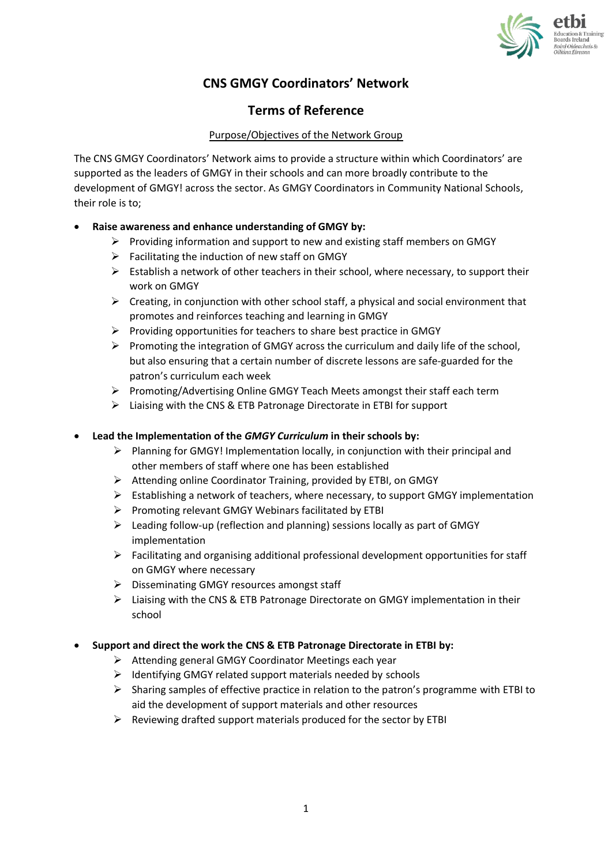

# **CNS GMGY Coordinators' Network**

# **Terms of Reference**

# Purpose/Objectives of the Network Group

The CNS GMGY Coordinators' Network aims to provide a structure within which Coordinators' are supported as the leaders of GMGY in their schools and can more broadly contribute to the development of GMGY! across the sector. As GMGY Coordinators in Community National Schools, their role is to;

# • **Raise awareness and enhance understanding of GMGY by:**

- $\triangleright$  Providing information and support to new and existing staff members on GMGY
- $\triangleright$  Facilitating the induction of new staff on GMGY
- $\triangleright$  Establish a network of other teachers in their school, where necessary, to support their work on GMGY
- $\triangleright$  Creating, in conjunction with other school staff, a physical and social environment that promotes and reinforces teaching and learning in GMGY
- ➢ Providing opportunities for teachers to share best practice in GMGY
- $\triangleright$  Promoting the integration of GMGY across the curriculum and daily life of the school, but also ensuring that a certain number of discrete lessons are safe-guarded for the patron's curriculum each week
- ➢ Promoting/Advertising Online GMGY Teach Meets amongst their staff each term
- ➢ Liaising with the CNS & ETB Patronage Directorate in ETBI for support

## • **Lead the Implementation of the** *GMGY Curriculum* **in their schools by:**

- $\triangleright$  Planning for GMGY! Implementation locally, in conjunction with their principal and other members of staff where one has been established
- ➢ Attending online Coordinator Training, provided by ETBI, on GMGY
- $\triangleright$  Establishing a network of teachers, where necessary, to support GMGY implementation
- ➢ Promoting relevant GMGY Webinars facilitated by ETBI
- ➢ Leading follow-up (reflection and planning) sessions locally as part of GMGY implementation
- ➢ Facilitating and organising additional professional development opportunities for staff on GMGY where necessary
- ➢ Disseminating GMGY resources amongst staff
- ➢ Liaising with the CNS & ETB Patronage Directorate on GMGY implementation in their school

### • **Support and direct the work the CNS & ETB Patronage Directorate in ETBI by:**

- ➢ Attending general GMGY Coordinator Meetings each year
- ➢ Identifying GMGY related support materials needed by schools
- ➢ Sharing samples of effective practice in relation to the patron's programme with ETBI to aid the development of support materials and other resources
- $\triangleright$  Reviewing drafted support materials produced for the sector by ETBI